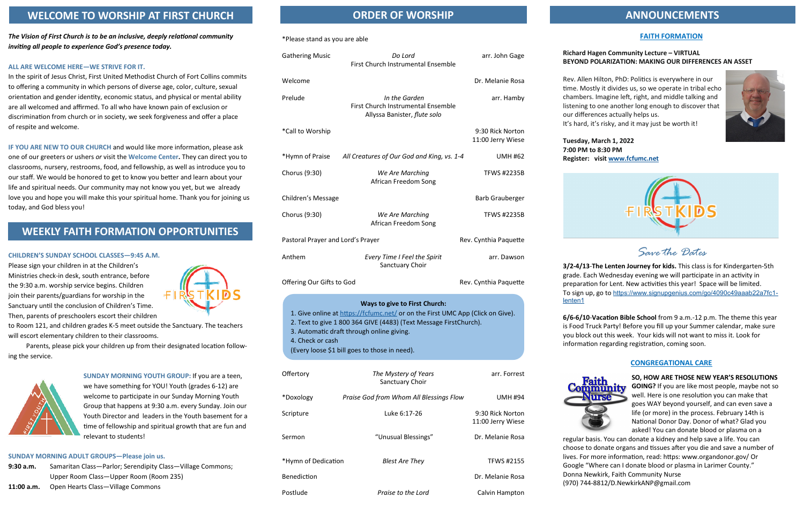## **FAITH FORMATION**

## **Richard Hagen Community Lecture – VIRTUAL BEYOND POLARIZATION: MAKING OUR DIFFERENCES AN ASSET**

Rev. Allen Hilton, PhD: Politics is everywhere in our time. Mostly it divides us, so we operate in tribal echo chambers. Imagine left, right, and middle talking and listening to one another long enough to discover that our differences actually helps us.

It's hard, it's risky, and it may just be worth it!



**Tuesday, March 1, 2022 7:00 PM to 8:30 PM Register: visit [www.fcfumc.net](http://www.fcfumc.net/)**



*Save the Dates*

**3/2-4/13**-**The Lenten Journey for kids.** This class is for Kindergarten-5th grade. Each Wednesday evening we will participate in an activity in preparation for Lent. New activities this year! Space will be limited. To sign up, go to [https://www.signupgenius.com/go/4090c49aaab22a7fc1](https://www.signupgenius.com/go/4090c49aaab22a7fc1-lenten1)-

**6/6-6/10**-**Vacation Bible School** from 9 a.m.-12 p.m. The theme this year is Food Truck Party! Before you fill up your Summer calendar, make sure you block out this week. Your kids will not want to miss it. Look for information regarding registration, coming soon.

## **CONGREGATIONAL CARE**



**SO, HOW ARE THOSE NEW YEAR'S RESOLUTIONS GOING?** If you are like most people, maybe not so well. Here is one resolution you can make that goes WAY beyond yourself, and can even save a life (or more) in the process. February 14th is National Donor Day. Donor of what? Glad you asked! You can donate blood or plasma on a

regular basis. You can donate a kidney and help save a life. You can choose to donate organs and tissues after you die and save a number of lives. For more information, read: https: www.organdonor.gov/ Or Google "Where can I donate blood or plasma in Larimer County." Donna Newkirk, Faith Community Nurse (970) 744-8812/D.NewkirkANP@gmail.com

#### \*Please stand as you are able

- **9:30 a.m.** Samaritan Class—Parlor; Serendipity Class—Village Commons; Upper Room Class—Upper Room (Room 235)
- 11:00 a.m. Open Hearts Class-Village Commons

## **ORDER OF WORSHIP ANNOUNCEMENTS**

Postlude *Praise to the Lord* Calvin Hampton

*The Vision of First Church is to be an inclusive, deeply relational community inviting all people to experience God's presence today.*

#### **ALL ARE WELCOME HERE—WE STRIVE FOR IT.**

| <b>Gathering Music</b>                                                                                                                                                                                                                                                                                        | Do Lord<br>First Church Instrumental Ensemble                                       | arr. John Gage                        | Killaru<br><b>BEYON</b>                                 |
|---------------------------------------------------------------------------------------------------------------------------------------------------------------------------------------------------------------------------------------------------------------------------------------------------------------|-------------------------------------------------------------------------------------|---------------------------------------|---------------------------------------------------------|
| Welcome                                                                                                                                                                                                                                                                                                       |                                                                                     | Dr. Melanie Rosa                      | Rev. All                                                |
| Prelude                                                                                                                                                                                                                                                                                                       | In the Garden<br>First Church Instrumental Ensemble<br>Allyssa Banister, flute solo | arr. Hamby                            | time. M<br>chambe<br>listenin<br>our diff               |
| *Call to Worship                                                                                                                                                                                                                                                                                              |                                                                                     | 9:30 Rick Norton<br>11:00 Jerry Wiese | It's hard<br>Tuesda                                     |
| *Hymn of Praise                                                                                                                                                                                                                                                                                               | All Creatures of Our God and King, vs. 1-4                                          | <b>UMH #62</b>                        | 7:00 PN<br><b>Registe</b>                               |
| Chorus (9:30)                                                                                                                                                                                                                                                                                                 | We Are Marching<br>African Freedom Song                                             | <b>TFWS #2235B</b>                    |                                                         |
| Children's Message                                                                                                                                                                                                                                                                                            |                                                                                     | <b>Barb Grauberger</b>                |                                                         |
| Chorus (9:30)                                                                                                                                                                                                                                                                                                 | We Are Marching<br>African Freedom Song                                             | <b>TFWS #2235B</b>                    |                                                         |
| Pastoral Prayer and Lord's Prayer                                                                                                                                                                                                                                                                             |                                                                                     | Rev. Cynthia Paquette                 |                                                         |
| Anthem                                                                                                                                                                                                                                                                                                        | Every Time I Feel the Spirit<br>Sanctuary Choir                                     | arr. Dawson                           | $3/2 - 4/1$                                             |
| Offering Our Gifts to God                                                                                                                                                                                                                                                                                     |                                                                                     | Rev. Cynthia Paquette                 | grade. I<br>prepara<br>To sign                          |
| <b>Ways to give to First Church:</b><br>1. Give online at https://fcfumc.net/ or on the First UMC App (Click on Give).<br>2. Text to give 1 800 364 GIVE (4483) (Text Message FirstChurch).<br>3. Automatic draft through online giving.<br>4. Check or cash<br>(Every loose \$1 bill goes to those in need). |                                                                                     |                                       | lenten1<br>$6/6 - 6/1$<br>is Food<br>you blo<br>informa |
| Offertory                                                                                                                                                                                                                                                                                                     | The Mystery of Years<br>Sanctuary Choir                                             | arr. Forrest                          |                                                         |
| *Doxology                                                                                                                                                                                                                                                                                                     | Praise God from Whom All Blessings Flow                                             | <b>UMH #94</b>                        | Cor                                                     |
| Scripture                                                                                                                                                                                                                                                                                                     | Luke 6:17-26                                                                        | 9:30 Rick Norton<br>11:00 Jerry Wiese |                                                         |
| Sermon                                                                                                                                                                                                                                                                                                        | "Unusual Blessings"                                                                 | Dr. Melanie Rosa                      | regular<br>choose                                       |
| *Hymn of Dedication                                                                                                                                                                                                                                                                                           | <b>Blest Are They</b>                                                               | <b>TFWS #2155</b>                     | lives. Fo<br>Google                                     |
| Benediction                                                                                                                                                                                                                                                                                                   |                                                                                     | Dr. Melanie Rosa                      | Donna I                                                 |

In the spirit of Jesus Christ, First United Methodist Church of Fort Collins commits to offering a community in which persons of diverse age, color, culture, sexual orientation and gender identity, economic status, and physical or mental ability are all welcomed and affirmed. To all who have known pain of exclusion or discrimination from church or in society, we seek forgiveness and offer a place of respite and welcome.

**IF YOU ARE NEW TO OUR CHURCH** and would like more information, please ask one of our greeters or ushers *or* visit the **Welcome Center.** They can direct you to classrooms, nursery, restrooms, food, and fellowship, as well as introduce you to our staff. We would be honored to get to know you better and learn about your life and spiritual needs. Our community may not know you yet, but we already love you and hope you will make this your spiritual home. Thank you for joining us today, and God bless you!

**CHILDREN'S SUNDAY SCHOOL CLASSES—9:45 A.M.** 

Please sign your children in at the Children's Ministries check-in desk, south entrance, before the 9:30 a.m. worship service begins. Children join their parents/guardians for worship in the Sanctuary until the conclusion of Children's Time. Then, parents of preschoolers escort their children



to Room 121, and children grades K-5 meet outside the Sanctuary. The teachers will escort elementary children to their classrooms.

Parents, please pick your children up from their designated location following the service.



**SUNDAY MORNING YOUTH GROUP:** If you are a teen, we have something for YOU! Youth (grades 6-12) are welcome to participate in our Sunday Morning Youth Group that happens at 9:30 a.m. every Sunday. Join our Youth Director and leaders in the Youth basement for a time of fellowship and spiritual growth that are fun and relevant to students!

## **SUNDAY MORNING ADULT GROUPS—Please join us.**

## **WELCOME TO WORSHIP AT FIRST CHURCH**

## **WEEKLY FAITH FORMATION OPPORTUNITIES**